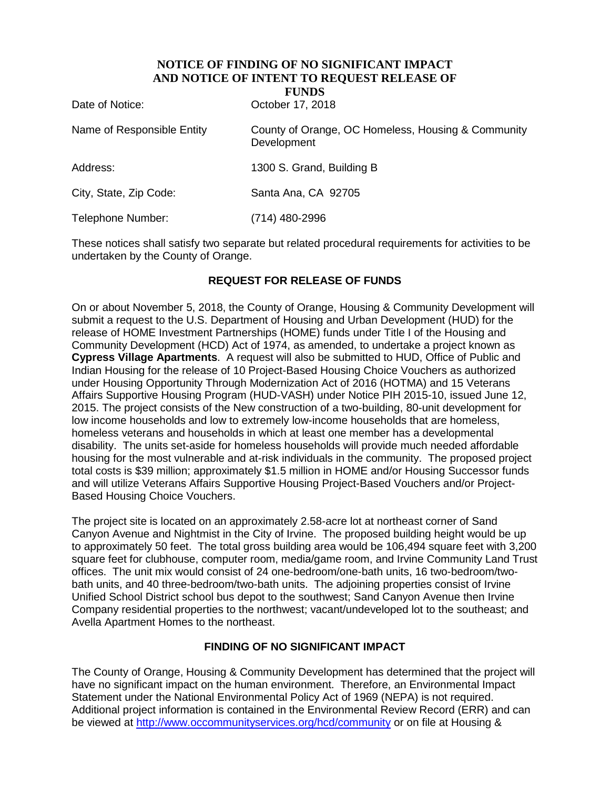# **NOTICE OF FINDING OF NO SIGNIFICANT IMPACT AND NOTICE OF INTENT TO REQUEST RELEASE OF**

**FUNDS** 

Date of Notice: Case Corrected: Corrected by October 17, 2018

| Name of Responsible Entity | County of Orange, OC Homeless, Housing & Community<br>Development |
|----------------------------|-------------------------------------------------------------------|
| Address:                   | 1300 S. Grand, Building B                                         |
| City, State, Zip Code:     | Santa Ana, CA 92705                                               |
| Telephone Number:          | (714) 480-2996                                                    |

These notices shall satisfy two separate but related procedural requirements for activities to be undertaken by the County of Orange.

### **REQUEST FOR RELEASE OF FUNDS**

On or about November 5, 2018, the County of Orange, Housing & Community Development will submit a request to the U.S. Department of Housing and Urban Development (HUD) for the release of HOME Investment Partnerships (HOME) funds under Title I of the Housing and Community Development (HCD) Act of 1974, as amended, to undertake a project known as **Cypress Village Apartments**. A request will also be submitted to HUD, Office of Public and Indian Housing for the release of 10 Project-Based Housing Choice Vouchers as authorized under Housing Opportunity Through Modernization Act of 2016 (HOTMA) and 15 Veterans Affairs Supportive Housing Program (HUD-VASH) under Notice PIH 2015-10, issued June 12, 2015. The project consists of the New construction of a two-building, 80-unit development for low income households and low to extremely low-income households that are homeless, homeless veterans and households in which at least one member has a developmental disability. The units set-aside for homeless households will provide much needed affordable housing for the most vulnerable and at-risk individuals in the community. The proposed project total costs is \$39 million; approximately \$1.5 million in HOME and/or Housing Successor funds and will utilize Veterans Affairs Supportive Housing Project-Based Vouchers and/or Project-Based Housing Choice Vouchers.

The project site is located on an approximately 2.58-acre lot at northeast corner of Sand Canyon Avenue and Nightmist in the City of Irvine. The proposed building height would be up to approximately 50 feet. The total gross building area would be 106,494 square feet with 3,200 square feet for clubhouse, computer room, media/game room, and Irvine Community Land Trust offices. The unit mix would consist of 24 one-bedroom/one-bath units, 16 two-bedroom/twobath units, and 40 three-bedroom/two-bath units. The adjoining properties consist of Irvine Unified School District school bus depot to the southwest; Sand Canyon Avenue then Irvine Company residential properties to the northwest; vacant/undeveloped lot to the southeast; and Avella Apartment Homes to the northeast.

#### **FINDING OF NO SIGNIFICANT IMPACT**

The County of Orange, Housing & Community Development has determined that the project will have no significant impact on the human environment. Therefore, an Environmental Impact Statement under the National Environmental Policy Act of 1969 (NEPA) is not required. Additional project information is contained in the Environmental Review Record (ERR) and can be viewed at<http://www.occommunityservices.org/hcd/community> or on file at Housing &